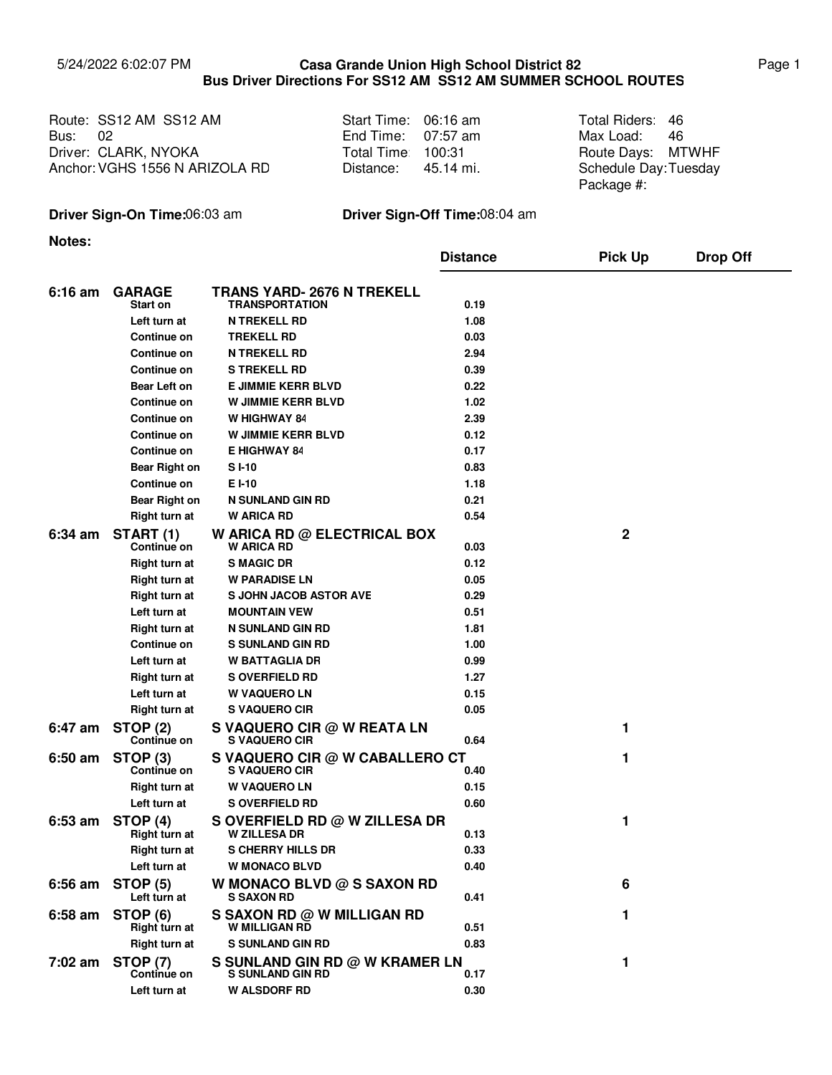## 5/24/2022 6:02:07 PM Page 1 **Casa Grande Union High School District 82 Bus Driver Directions For SS12 AM SS12 AM SUMMER SCHOOL ROUTES**

Route: SS12 AM SS12 AM Start Time: 06:16 am Total Riders: Bus: 02 Driver: Route Days: CLARK, NYOKA Anchor: VGHS 1556 N ARIZOLA RD

| Start Time: | 06:16 am  |  |  |
|-------------|-----------|--|--|
| End Time:   | 07:57 am  |  |  |
| Total Time: | 100:31    |  |  |
| Distance:   | 45.14 mi. |  |  |

Max Load: 46 Total Riders: 46 Route Days: MTWHF Schedule Day: Tuesday Package #:

## **Driver Sign-On Time:**06:03 am **Driver Sign-Off Time:**08:04 am

**Notes:**

|           |                                  |                                                            | <b>Distance</b> | <b>Pick Up</b> | <b>Drop Off</b> |
|-----------|----------------------------------|------------------------------------------------------------|-----------------|----------------|-----------------|
| $6:16$ am | <b>GARAGE</b><br><b>Start on</b> | <b>TRANS YARD- 2676 N TREKELL</b><br><b>TRANSPORTATION</b> | 0.19            |                |                 |
|           | Left turn at                     | <b>N TREKELL RD</b>                                        | 1.08            |                |                 |
|           | Continue on                      | <b>TREKELL RD</b>                                          | 0.03            |                |                 |
|           | <b>Continue on</b>               | <b>N TREKELL RD</b>                                        | 2.94            |                |                 |
|           | <b>Continue on</b>               | <b>S TREKELL RD</b>                                        | 0.39            |                |                 |
|           | <b>Bear Left on</b>              | <b>E JIMMIE KERR BLVD</b>                                  | 0.22            |                |                 |
|           | <b>Continue on</b>               | <b>W JIMMIE KERR BLVD</b>                                  | 1.02            |                |                 |
|           | <b>Continue on</b>               | W HIGHWAY 84                                               | 2.39            |                |                 |
|           | <b>Continue on</b>               | <b>W JIMMIE KERR BLVD</b>                                  | 0.12            |                |                 |
|           | Continue on                      | <b>E HIGHWAY 84</b>                                        | 0.17            |                |                 |
|           | <b>Bear Right on</b>             | SI-10                                                      | 0.83            |                |                 |
|           | Continue on                      | EI-10                                                      | 1.18            |                |                 |
|           | <b>Bear Right on</b>             | <b>N SUNLAND GIN RD</b>                                    | 0.21            |                |                 |
|           | <b>Right turn at</b>             | <b>W ARICA RD</b>                                          | 0.54            |                |                 |
| $6:34$ am | START (1)<br>Continue on         | W ARICA RD @ ELECTRICAL BOX<br><b>W ARICA RD</b>           | 0.03            | $\mathbf 2$    |                 |
|           | <b>Right turn at</b>             | <b>S MAGIC DR</b>                                          | 0.12            |                |                 |
|           | <b>Right turn at</b>             | <b>W PARADISE LN</b>                                       | 0.05            |                |                 |
|           | <b>Right turn at</b>             | <b>S JOHN JACOB ASTOR AVE</b>                              | 0.29            |                |                 |
|           | Left turn at                     | <b>MOUNTAIN VEW</b>                                        | 0.51            |                |                 |
|           | Right turn at                    | <b>N SUNLAND GIN RD</b>                                    | 1.81            |                |                 |
|           | Continue on                      | <b>S SUNLAND GIN RD</b>                                    | 1.00            |                |                 |
|           | Left turn at                     | <b>W BATTAGLIA DR</b>                                      | 0.99            |                |                 |
|           | <b>Right turn at</b>             | <b>S OVERFIELD RD</b>                                      | 1.27            |                |                 |
|           | Left turn at                     | <b>W VAQUERO LN</b>                                        | 0.15            |                |                 |
|           | <b>Right turn at</b>             | <b>S VAQUERO CIR</b>                                       | 0.05            |                |                 |
| 6:47 am   | <b>STOP (2)</b><br>Continue on   | S VAQUERO CIR @ W REATA LN<br>S VAQUERO CIR                | 0.64            | 1              |                 |
| $6:50$ am | STOP <sub>(3)</sub>              | S VAQUERO CIR @ W CABALLERO CT                             |                 | 1              |                 |
|           | Continue on                      | <b>S VAQUERO CIR</b>                                       | 0.40            |                |                 |
|           | <b>Right turn at</b>             | <b>W VAQUERO LN</b>                                        | 0.15            |                |                 |
|           | Left turn at                     | <b>S OVERFIELD RD</b>                                      | 0.60            |                |                 |
| $6:53$ am | STOP (4)<br>Right turn at        | S OVERFIELD RD @ W ZILLESA DR<br><b>W ZILLESA DR</b>       | 0.13            | 1              |                 |
|           | Right turn at                    | <b>S CHERRY HILLS DR</b>                                   | 0.33            |                |                 |
|           | Left turn at                     | <b>W MONACO BLVD</b>                                       | 0.40            |                |                 |
| $6:56$ am | <b>STOP (5)</b><br>Left turn at  | W MONACO BLVD $@S$ SAXON RD<br><b>S SAXON RD</b>           | 0.41            | 6              |                 |
| $6:58$ am | STOP (6)<br>Right turn at        | S SAXON RD @ W MILLIGAN RD<br><b>W MILLIGAN RD</b>         | 0.51            | 1              |                 |
|           | <b>Right turn at</b>             | <b>S SUNLAND GIN RD</b>                                    | 0.83            |                |                 |
| 7:02 am   | <b>STOP (7)</b><br>Continue on   | S SUNLAND GIN RD @ W KRAMER LN<br><b>S SUNLAND GIN RD</b>  | 0.17            | 1              |                 |
|           | Left turn at                     | <b>W ALSDORF RD</b>                                        | 0.30            |                |                 |